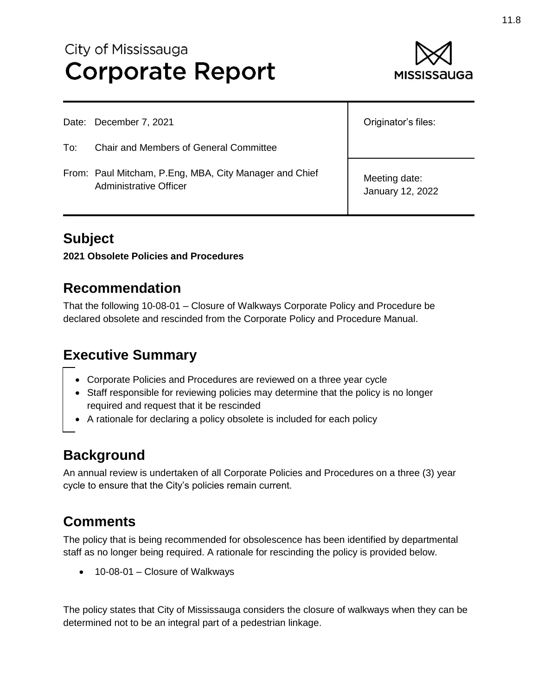# City of Mississauga **Corporate Report**



|     | Date: December 7, 2021                                                                  | Originator's files:               |
|-----|-----------------------------------------------------------------------------------------|-----------------------------------|
| To: | <b>Chair and Members of General Committee</b>                                           |                                   |
|     | From: Paul Mitcham, P.Eng, MBA, City Manager and Chief<br><b>Administrative Officer</b> | Meeting date:<br>January 12, 2022 |

## **Subject**

**2021 Obsolete Policies and Procedures**

#### **Recommendation**

That the following 10-08-01 – Closure of Walkways Corporate Policy and Procedure be declared obsolete and rescinded from the Corporate Policy and Procedure Manual.

## **Executive Summary**

- Corporate Policies and Procedures are reviewed on a three year cycle
- Staff responsible for reviewing policies may determine that the policy is no longer required and request that it be rescinded
- A rationale for declaring a policy obsolete is included for each policy

#### **Background**

An annual review is undertaken of all Corporate Policies and Procedures on a three (3) year cycle to ensure that the City's policies remain current.

## **Comments**

The policy that is being recommended for obsolescence has been identified by departmental staff as no longer being required. A rationale for rescinding the policy is provided below.

• 10-08-01 – Closure of Walkways

The policy states that City of Mississauga considers the closure of walkways when they can be determined not to be an integral part of a pedestrian linkage.